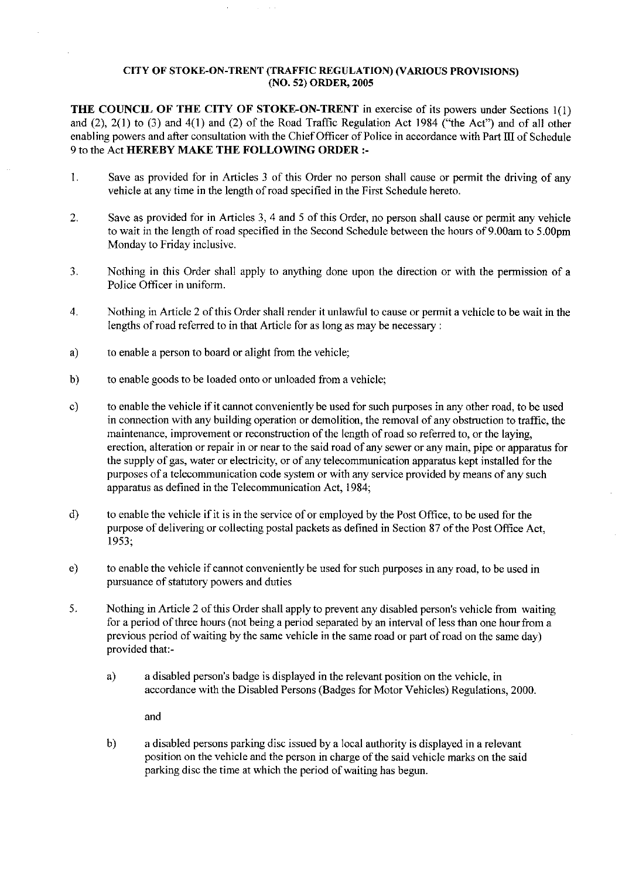## CITY OF STOKE-ON-TRENT (TRAFFIC REGULATION) (VARIOUS **PROVISIONS) (NO. 52**) **ORDER, 2005**

THE COUNCIL OF THE CITY OF STOKE-ON-TRENT in exercise of its powers under Sections l(1) and (2), 2(1) to (3) and 4(1) and (2) of the Road Traffic Regulation Act 1984 ("the Act") *and of* all other enabling powers and after consultation with the Chief Officer of Police in accordance with Part III of Schedule 9 to the Act HEREBY MAKE THE FOLLOWING **ORDER :-**

- 1. Save as provided for in Articles 3 of this Order no person shall cause or permit the driving of any vehicle at any time in the length of road specified in the First Schedule hereto.
- 2. Save as provided for in Articles 3, 4 and 5 of this Order, no person shall cause or permit any vehicle to wait in the length of road specified in the Second Schedule between the hours of 9.00am to 5.00pm Monday to Friday inclusive.
- 3. Nothing in this Order shall apply to anything done upon the direction or with the permission of a Police Officer in uniform.
- 4. Nothing in Article 2 of this Order shall render it unlawful to cause or permit a vehicle to be wait in the lengths of road referred to in that Article for as long as may be necessary:
- a) to enable a person to board or alight from the vehicle;
- b) to enable goods to be loaded onto or unloaded from a vehicle;
- c) to enable the vehicle if it cannot conveniently be used for such purposes in any other road, to be used in connection with any building operation or demolition, the removal of any obstruction to traffic, the maintenance, improvement or reconstruction of the length of road so referred to, or the laying, erection, alteration or repair in or near to the said road of any sewer or any main, pipe or apparatus for the supply of gas, water or electricity, or of any telecommunication apparatus kept installed for the purposes of a telecommunication code system or with any service provided by means of any such apparatus as defined in the Telecommunication Act, 1984;
- d) to enable the vehicle if it is in the service of or employed by the Post Office, to be used for the purpose of delivering or collecting postal packets as defined in Section 87 of the Post Office Act, 1953;
- e) to enable the vehicle if cannot conveniently be used for such purposes in any road, to be used in pursuance of statutory powers and duties
- 5. Nothing in Article 2 of this Order shall apply to prevent any disabled person's vehicle from waiting for a period of three hours (not being a period separated by an interval of less than one hour from a previous period of waiting by the same vehicle in the **same** road or part of road on the same day) provided that:
	- a) a disabled person's badge is displayed in the relevant position on the vehicle, in accordance with the Disabled Persons (Badges for Motor Vehicles) Regulations, 2000.

and

b) a disabled persons parking disc issued by a local authority is displayed in a relevant position on the vehicle and the person in charge of the said vehicle marks on the said parking disc the time at which the period of waiting has begun.